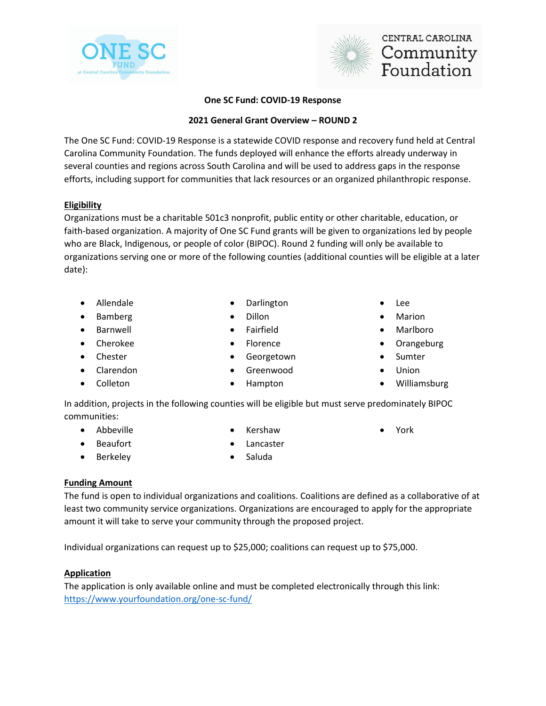



# CENTRAL CAROLINA Community Foundation

#### **One SC Fund: COVID-19 Response**

#### **2021 General Grant Overview – ROUND 2**

The One SC Fund: COVID-19 Response is a statewide COVID response and recovery fund held at Central Carolina Community Foundation. The funds deployed will enhance the efforts already underway in several counties and regions across South Carolina and will be used to address gaps in the response efforts, including support for communities that lack resources or an organized philanthropic response.

#### **Eligibility**

Organizations must be a charitable 501c3 nonprofit, public entity or other charitable, education, or faith-based organization. A majority of One SC Fund grants will be given to organizations led by people who are Black, Indigenous, or people of color (BIPOC). Round 2 funding will only be available to organizations serving one or more of the following counties (additional counties will be eligible at a later date):

- Allendale
- Bamberg
- Barnwell
- Cherokee
- Chester
- Clarendon
- Colleton
- Darlington
- Dillon
- **Fairfield**
- Florence
- **Georgetown**
- Greenwood
- Hampton
- Lee
- Marion
- Marlboro
- Orangeburg
- **Sumter**
- Union

• York

• Williamsburg

In addition, projects in the following counties will be eligible but must serve predominately BIPOC communities:

• Abbeville

**Beaufort Berkeley** 

- Kershaw
- **Lancaster**
- Saluda

### **Funding Amount**

The fund is open to individual organizations and coalitions. Coalitions are defined as a collaborative of at least two community service organizations. Organizations are encouraged to apply for the appropriate amount it will take to serve your community through the proposed project.

Individual organizations can request up to \$25,000; coalitions can request up to \$75,000.

#### **Application**

The application is only available online and must be completed electronically through this link: <https://www.yourfoundation.org/one-sc-fund/>